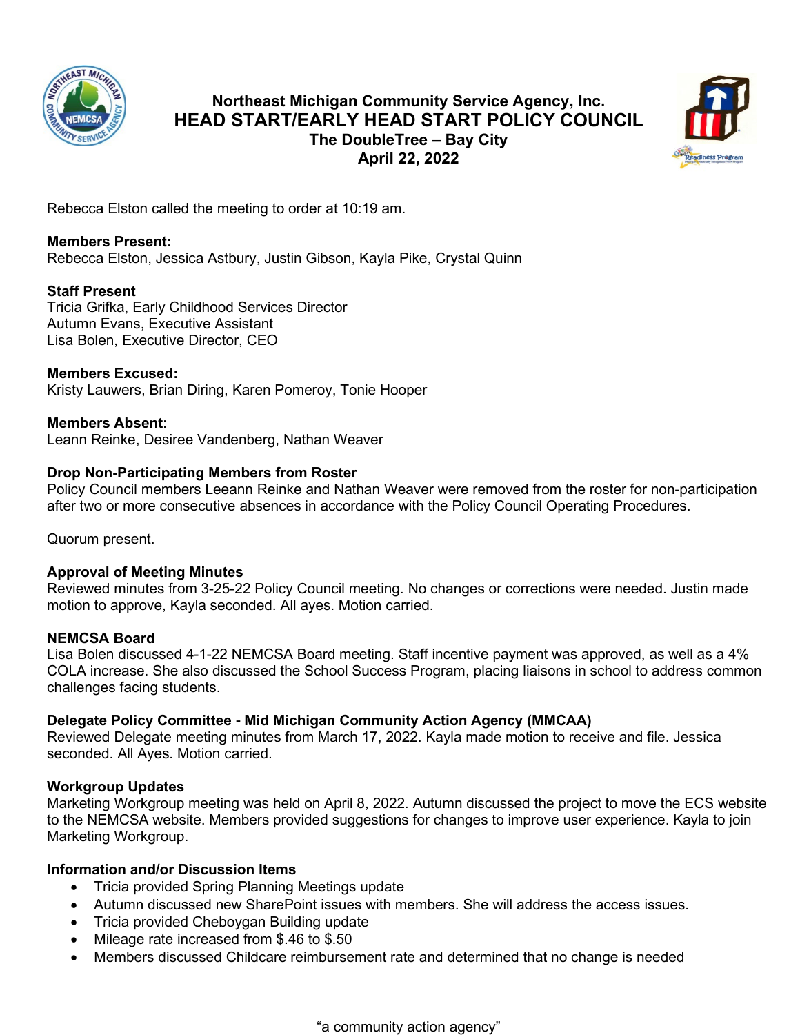

# **Northeast Michigan Community Service Agency, Inc. HEAD START/EARLY HEAD START POLICY COUNCIL The DoubleTree – Bay City April 22, 2022**



Rebecca Elston called the meeting to order at 10:19 am.

# **Members Present:**

Rebecca Elston, Jessica Astbury, Justin Gibson, Kayla Pike, Crystal Quinn

# **Staff Present**

Tricia Grifka, Early Childhood Services Director Autumn Evans, Executive Assistant Lisa Bolen, Executive Director, CEO

# **Members Excused:**

Kristy Lauwers, Brian Diring, Karen Pomeroy, Tonie Hooper

**Members Absent:** Leann Reinke, Desiree Vandenberg, Nathan Weaver

### **Drop Non-Participating Members from Roster**

Policy Council members Leeann Reinke and Nathan Weaver were removed from the roster for non-participation after two or more consecutive absences in accordance with the Policy Council Operating Procedures.

Quorum present.

### **Approval of Meeting Minutes**

Reviewed minutes from 3-25-22 Policy Council meeting. No changes or corrections were needed. Justin made motion to approve, Kayla seconded. All ayes. Motion carried.

### **NEMCSA Board**

Lisa Bolen discussed 4-1-22 NEMCSA Board meeting. Staff incentive payment was approved, as well as a 4% COLA increase. She also discussed the School Success Program, placing liaisons in school to address common challenges facing students.

### **Delegate Policy Committee - Mid Michigan Community Action Agency (MMCAA)**

Reviewed Delegate meeting minutes from March 17, 2022. Kayla made motion to receive and file. Jessica seconded. All Ayes. Motion carried.

### **Workgroup Updates**

Marketing Workgroup meeting was held on April 8, 2022. Autumn discussed the project to move the ECS website to the NEMCSA website. Members provided suggestions for changes to improve user experience. Kayla to join Marketing Workgroup.

### **Information and/or Discussion Items**

- Tricia provided Spring Planning Meetings update
- Autumn discussed new SharePoint issues with members. She will address the access issues.
- Tricia provided Cheboygan Building update
- Mileage rate increased from \$.46 to \$.50
- Members discussed Childcare reimbursement rate and determined that no change is needed